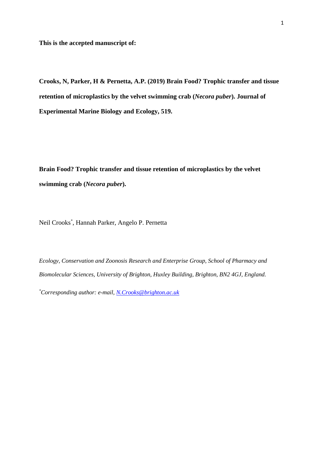**This is the accepted manuscript of:**

**Crooks, N, Parker, H & Pernetta, A.P. (2019) Brain Food? Trophic transfer and tissue retention of microplastics by the velvet swimming crab (***Necora puber***). Journal of Experimental Marine Biology and Ecology, 519.**

**Brain Food? Trophic transfer and tissue retention of microplastics by the velvet swimming crab (***Necora puber***).**

Neil Crooks*\** , Hannah Parker, Angelo P. Pernetta

*Ecology, Conservation and Zoonosis Research and Enterprise Group, School of Pharmacy and Biomolecular Sciences, University of Brighton, Huxley Building, Brighton, BN2 4GJ, England.* 

*\* Corresponding author: e-mail, [N.Crooks@brighton.ac.uk](mailto:N.Crooks@brighton.ac.uk)*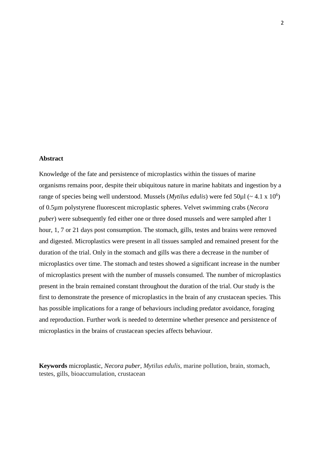### **Abstract**

Knowledge of the fate and persistence of microplastics within the tissues of marine organisms remains poor, despite their ubiquitous nature in marine habitats and ingestion by a range of species being well understood. Mussels (*Mytilus edulis*) were fed 50µl (~ 4.1 x 10<sup>6</sup>) of 0.5µm polystyrene fluorescent microplastic spheres. Velvet swimming crabs (*Necora puber*) were subsequently fed either one or three dosed mussels and were sampled after 1 hour, 1, 7 or 21 days post consumption. The stomach, gills, testes and brains were removed and digested. Microplastics were present in all tissues sampled and remained present for the duration of the trial. Only in the stomach and gills was there a decrease in the number of microplastics over time. The stomach and testes showed a significant increase in the number of microplastics present with the number of mussels consumed. The number of microplastics present in the brain remained constant throughout the duration of the trial. Our study is the first to demonstrate the presence of microplastics in the brain of any crustacean species. This has possible implications for a range of behaviours including predator avoidance, foraging and reproduction. Further work is needed to determine whether presence and persistence of microplastics in the brains of crustacean species affects behaviour.

**Keywords** microplastic, *Necora puber, Mytilus edulis,* marine pollution, brain, stomach, testes, gills, bioaccumulation, crustacean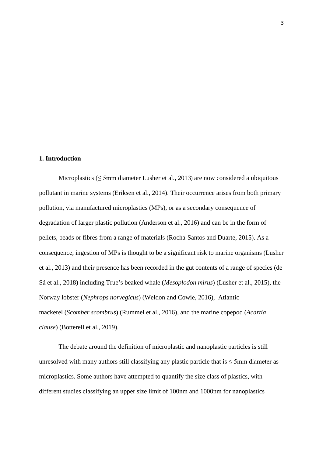# **1. Introduction**

Microplastics ( $\leq$  5mm diameter Lusher et al., 2013) are now considered a ubiquitous pollutant in marine systems (Eriksen et al., 2014). Their occurrence arises from both primary pollution, via manufactured microplastics (MPs), or as a secondary consequence of degradation of larger plastic pollution (Anderson et al., 2016) and can be in the form of pellets, beads or fibres from a range of materials (Rocha-Santos and Duarte, 2015). As a consequence, ingestion of MPs is thought to be a significant risk to marine organisms (Lusher et al., 2013) and their presence has been recorded in the gut contents of a range of species (de Sá et al., 2018) including True's beaked whale (*Mesoplodon mirus*) (Lusher et al., 2015), the Norway lobster (*Nephrops norvegicus*) (Weldon and Cowie, 2016), Atlantic mackerel (*Scomber scombrus*) (Rummel et al., 2016), and the marine copepod (*Acartia clause*) (Botterell et al., 2019).

The debate around the definition of microplastic and nanoplastic particles is still unresolved with many authors still classifying any plastic particle that is  $\leq$  5mm diameter as microplastics. Some authors have attempted to quantify the size class of plastics, with different studies classifying an upper size limit of 100nm and 1000nm for nanoplastics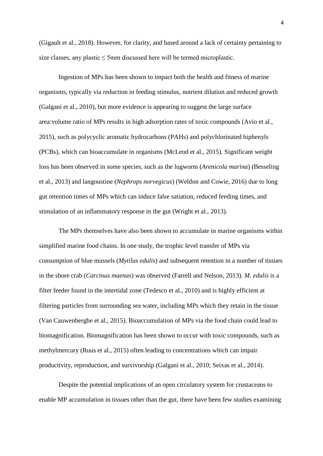(Gigault et al., 2018). However, for clarity, and based around a lack of certainty pertaining to size classes, any plastic ≤ 5mm discussed here will be termed microplastic.

Ingestion of MPs has been shown to impact both the health and fitness of marine organisms, typically via reduction in feeding stimulus, nutrient dilution and reduced growth (Galgani et al., 2010), but more evidence is appearing to suggest the large surface area:volume ratio of MPs results in high adsorption rates of toxic compounds (Avio et al., 2015), such as polycyclic aromatic hydrocarbons (PAHs) and polychlorinated biphenyls (PCBs), which can bioaccumulate in organisms (McLeod et al., 2015). Significant weight loss has been observed in some species, such as the lugworm (*Arenicola marina*) (Besseling et al., 2013) and langoustine (*Nephrops norvegicus*) (Weldon and Cowie, 2016) due to long gut retention times of MPs which can induce false satiation, reduced feeding times, and stimulation of an inflammatory response in the gut (Wright et al., 2013).

The MPs themselves have also been shown to accumulate in marine organisms within simplified marine food chains. In one study, the trophic level transfer of MPs via consumption of blue mussels (*Mytilus edulis*) and subsequent retention in a number of tissues in the shore crab (*Carcinus maenas*) was observed (Farrell and Nelson, 2013). *M. edulis* is a filter feeder found in the intertidal zone (Tedesco et al., 2010) and is highly efficient at filtering particles from surrounding sea water, including MPs which they retain in the tissue (Van Cauwenberghe et al., 2015). Bioaccumulation of MPs via the food chain could lead to biomagnification. Biomagnification has been shown to occur with toxic compounds, such as methylmercury (Ruus et al., 2015) often leading to concentrations which can impair productivity, reproduction, and survivorship (Galgani et al., 2010; Seixas et al., 2014).

Despite the potential implications of an open circulatory system for crustaceans to enable MP accumulation in tissues other than the gut, there have been few studies examining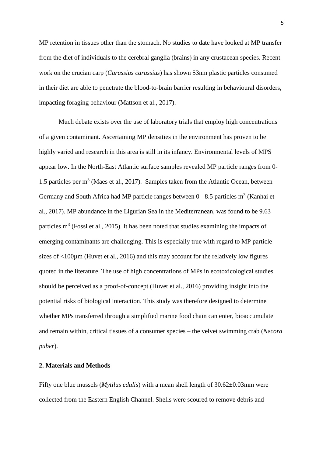MP retention in tissues other than the stomach. No studies to date have looked at MP transfer from the diet of individuals to the cerebral ganglia (brains) in any crustacean species. Recent work on the crucian carp (*Carassius carassius*) has shown 53nm plastic particles consumed in their diet are able to penetrate the blood-to-brain barrier resulting in behavioural disorders, impacting foraging behaviour (Mattson et al., 2017).

Much debate exists over the use of laboratory trials that employ high concentrations of a given contaminant. Ascertaining MP densities in the environment has proven to be highly varied and research in this area is still in its infancy. Environmental levels of MPS appear low. In the North-East Atlantic surface samples revealed MP particle ranges from 0- 1.5 particles per  $m<sup>3</sup>$  (Maes et al., 2017). Samples taken from the Atlantic Ocean, between Germany and South Africa had MP particle ranges between  $0 - 8.5$  particles m<sup>3</sup> (Kanhai et al., 2017). MP abundance in the Ligurian Sea in the Mediterranean, was found to be 9.63 particles  $m<sup>3</sup>$  (Fossi et al., 2015). It has been noted that studies examining the impacts of emerging contaminants are challenging. This is especially true with regard to MP particle sizes of <100µm (Huvet et al., 2016) and this may account for the relatively low figures quoted in the literature. The use of high concentrations of MPs in ecotoxicological studies should be perceived as a proof-of-concept (Huvet et al., 2016) providing insight into the potential risks of biological interaction. This study was therefore designed to determine whether MPs transferred through a simplified marine food chain can enter, bioaccumulate and remain within, critical tissues of a consumer species – the velvet swimming crab (*Necora puber*).

# **2. Materials and Methods**

Fifty one blue mussels (*Mytilus edulis*) with a mean shell length of 30.62±0.03mm were collected from the Eastern English Channel. Shells were scoured to remove debris and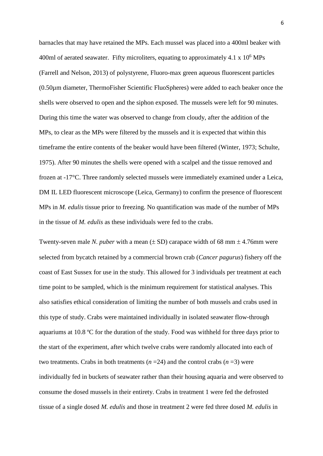barnacles that may have retained the MPs. Each mussel was placed into a 400ml beaker with 400ml of aerated seawater. Fifty microliters, equating to approximately 4.1 x  $10^6$  MPs (Farrell and Nelson, 2013) of polystyrene, Fluoro-max green aqueous fluorescent particles (0.50µm diameter, ThermoFisher Scientific FluoSpheres) were added to each beaker once the shells were observed to open and the siphon exposed. The mussels were left for 90 minutes. During this time the water was observed to change from cloudy, after the addition of the MPs, to clear as the MPs were filtered by the mussels and it is expected that within this timeframe the entire contents of the beaker would have been filtered (Winter, 1973; Schulte, 1975). After 90 minutes the shells were opened with a scalpel and the tissue removed and frozen at -17°C. Three randomly selected mussels were immediately examined under a Leica, DM IL LED fluorescent microscope (Leica, Germany) to confirm the presence of fluorescent MPs in *M. edulis* tissue prior to freezing. No quantification was made of the number of MPs in the tissue of *M. edulis* as these individuals were fed to the crabs.

Twenty-seven male *N. puber* with a mean (± SD) carapace width of 68 mm ± 4.76mm were selected from bycatch retained by a commercial brown crab (*Cancer pagurus*) fishery off the coast of East Sussex for use in the study. This allowed for 3 individuals per treatment at each time point to be sampled, which is the minimum requirement for statistical analyses. This also satisfies ethical consideration of limiting the number of both mussels and crabs used in this type of study. Crabs were maintained individually in isolated seawater flow-through aquariums at 10.8 ºC for the duration of the study. Food was withheld for three days prior to the start of the experiment, after which twelve crabs were randomly allocated into each of two treatments. Crabs in both treatments  $(n=24)$  and the control crabs  $(n=3)$  were individually fed in buckets of seawater rather than their housing aquaria and were observed to consume the dosed mussels in their entirety. Crabs in treatment 1 were fed the defrosted tissue of a single dosed *M. edulis* and those in treatment 2 were fed three dosed *M. edulis* in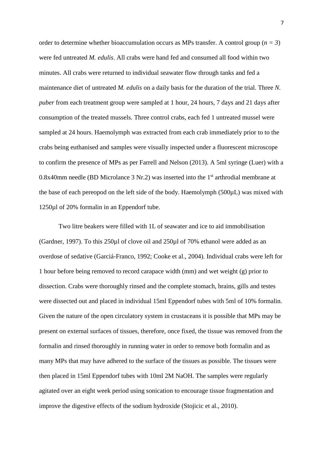order to determine whether bioaccumulation occurs as MPs transfer. A control group ( $n = 3$ ) were fed untreated *M. edulis*. All crabs were hand fed and consumed all food within two minutes. All crabs were returned to individual seawater flow through tanks and fed a maintenance diet of untreated *M. edulis* on a daily basis for the duration of the trial. Three *N. puber* from each treatment group were sampled at 1 hour, 24 hours, 7 days and 21 days after consumption of the treated mussels. Three control crabs, each fed 1 untreated mussel were sampled at 24 hours. Haemolymph was extracted from each crab immediately prior to to the crabs being euthanised and samples were visually inspected under a fluorescent microscope to confirm the presence of MPs as per Farrell and Nelson (2013). A 5ml syringe (Luer) with a  $0.8x40$ mm needle (BD Microlance 3 Nr.2) was inserted into the 1<sup>st</sup> arthrodial membrane at the base of each pereopod on the left side of the body. Haemolymph (500µL) was mixed with 1250µl of 20% formalin in an Eppendorf tube.

Two litre beakers were filled with 1L of seawater and ice to aid immobilisation (Gardner, 1997). To this 250µl of clove oil and 250µl of 70% ethanol were added as an overdose of sedative (Garciá-Franco, 1992; Cooke et al., 2004). Individual crabs were left for 1 hour before being removed to record carapace width (mm) and wet weight (g) prior to dissection. Crabs were thoroughly rinsed and the complete stomach, brains, gills and testes were dissected out and placed in individual 15ml Eppendorf tubes with 5ml of 10% formalin. Given the nature of the open circulatory system in crustaceans it is possible that MPs may be present on external surfaces of tissues, therefore, once fixed, the tissue was removed from the formalin and rinsed thoroughly in running water in order to remove both formalin and as many MPs that may have adhered to the surface of the tissues as possible. The tissues were then placed in 15ml Eppendorf tubes with 10ml 2M NaOH. The samples were regularly agitated over an eight week period using sonication to encourage tissue fragmentation and improve the digestive effects of the sodium hydroxide (Stojicic et al., 2010).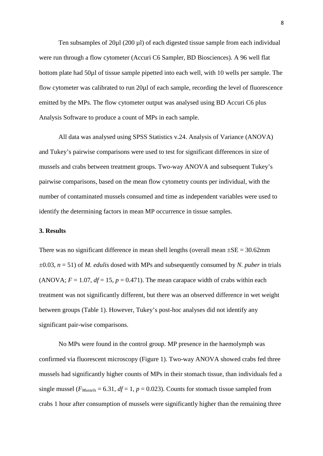Ten subsamples of  $20\mu$ l ( $200 \mu$ l) of each digested tissue sample from each individual were run through a flow cytometer (Accuri C6 Sampler, BD Biosciences). A 96 well flat bottom plate had 50µl of tissue sample pipetted into each well, with 10 wells per sample. The flow cytometer was calibrated to run 20µl of each sample, recording the level of fluorescence emitted by the MPs. The flow cytometer output was analysed using BD Accuri C6 plus Analysis Software to produce a count of MPs in each sample.

All data was analysed using SPSS Statistics v.24. Analysis of Variance (ANOVA) and Tukey's pairwise comparisons were used to test for significant differences in size of mussels and crabs between treatment groups. Two-way ANOVA and subsequent Tukey's pairwise comparisons, based on the mean flow cytometry counts per individual, with the number of contaminated mussels consumed and time as independent variables were used to identify the determining factors in mean MP occurrence in tissue samples.

### **3. Results**

There was no significant difference in mean shell lengths (overall mean  $\pm$ SE = 30.62mm  $\pm 0.03$ ,  $n = 51$ ) of *M. edulis* dosed with MPs and subsequently consumed by *N. puber* in trials (ANOVA;  $F = 1.07$ ,  $df = 15$ ,  $p = 0.471$ ). The mean carapace width of crabs within each treatment was not significantly different, but there was an observed difference in wet weight between groups (Table 1). However, Tukey's post-hoc analyses did not identify any significant pair-wise comparisons.

No MPs were found in the control group. MP presence in the haemolymph was confirmed via fluorescent microscopy (Figure 1). Two-way ANOVA showed crabs fed three mussels had significantly higher counts of MPs in their stomach tissue, than individuals fed a single mussel ( $F_{Mussels} = 6.31$ ,  $df = 1$ ,  $p = 0.023$ ). Counts for stomach tissue sampled from crabs 1 hour after consumption of mussels were significantly higher than the remaining three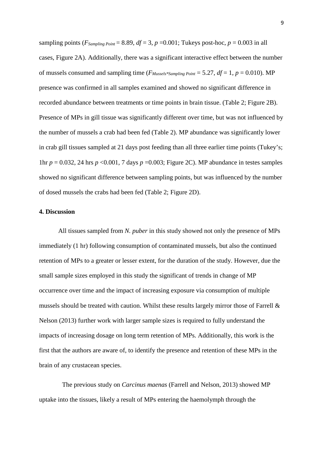sampling points ( $F_{Sampling\ Point} = 8.89$ ,  $df = 3$ ,  $p = 0.001$ ; Tukeys post-hoc,  $p = 0.003$  in all cases, Figure 2A). Additionally, there was a significant interactive effect between the number of mussels consumed and sampling time  $(F_{Mussels} * \textit{Sampling Point} = 5.27, df = 1, p = 0.010)$ . MP presence was confirmed in all samples examined and showed no significant difference in recorded abundance between treatments or time points in brain tissue. (Table 2; Figure 2B). Presence of MPs in gill tissue was significantly different over time, but was not influenced by the number of mussels a crab had been fed (Table 2). MP abundance was significantly lower in crab gill tissues sampled at 21 days post feeding than all three earlier time points (Tukey's; 1hr  $p = 0.032$ , 24 hrs  $p < 0.001$ , 7 days  $p = 0.003$ ; Figure 2C). MP abundance in testes samples showed no significant difference between sampling points, but was influenced by the number of dosed mussels the crabs had been fed (Table 2; Figure 2D).

# **4. Discussion**

All tissues sampled from *N. puber* in this study showed not only the presence of MPs immediately (1 hr) following consumption of contaminated mussels, but also the continued retention of MPs to a greater or lesser extent, for the duration of the study. However, due the small sample sizes employed in this study the significant of trends in change of MP occurrence over time and the impact of increasing exposure via consumption of multiple mussels should be treated with caution. Whilst these results largely mirror those of Farrell & Nelson (2013) further work with larger sample sizes is required to fully understand the impacts of increasing dosage on long term retention of MPs. Additionally, this work is the first that the authors are aware of, to identify the presence and retention of these MPs in the brain of any crustacean species.

The previous study on *Carcinus maenas* (Farrell and Nelson, 2013) showed MP uptake into the tissues, likely a result of MPs entering the haemolymph through the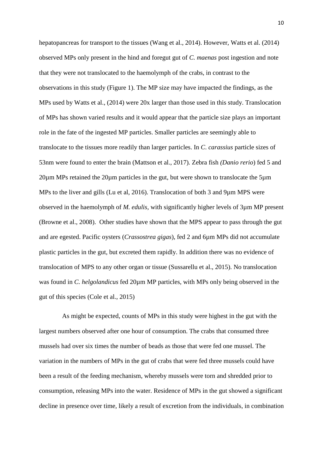hepatopancreas for transport to the tissues (Wang et al., 2014). However, Watts et al. (2014) observed MPs only present in the hind and foregut gut of *C. maenas* post ingestion and note that they were not translocated to the haemolymph of the crabs, in contrast to the observations in this study (Figure 1). The MP size may have impacted the findings, as the MPs used by Watts et al., (2014) were 20x larger than those used in this study. Translocation of MPs has shown varied results and it would appear that the particle size plays an important role in the fate of the ingested MP particles. Smaller particles are seemingly able to translocate to the tissues more readily than larger particles. In *C*. *carassius* particle sizes of 53nm were found to enter the brain (Mattson et al., 2017)*.* Zebra fish *(Danio rerio*) fed 5 and 20µm MPs retained the 20µm particles in the gut, but were shown to translocate the 5µm MPs to the liver and gills (Lu et al, 2016). Translocation of both 3 and 9µm MPS were observed in the haemolymph of *M. edulis,* with significantly higher levels of 3µm MP present (Browne et al., 2008). Other studies have shown that the MPS appear to pass through the gut and are egested. Pacific oysters (*Crassostrea gigas*), fed 2 and 6µm MPs did not accumulate plastic particles in the gut, but excreted them rapidly. In addition there was no evidence of translocation of MPS to any other organ or tissue (Sussarellu et al., 2015). No translocation was found in *C. helgolandicus* fed 20µm MP particles, with MPs only being observed in the gut of this species (Cole et al., 2015)

As might be expected, counts of MPs in this study were highest in the gut with the largest numbers observed after one hour of consumption. The crabs that consumed three mussels had over six times the number of beads as those that were fed one mussel. The variation in the numbers of MPs in the gut of crabs that were fed three mussels could have been a result of the feeding mechanism, whereby mussels were torn and shredded prior to consumption, releasing MPs into the water. Residence of MPs in the gut showed a significant decline in presence over time, likely a result of excretion from the individuals, in combination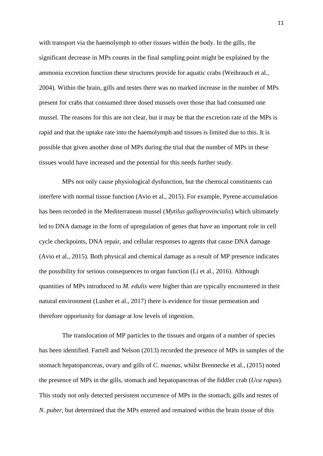with transport via the haemolymph to other tissues within the body. In the gills, the significant decrease in MPs counts in the final sampling point might be explained by the ammonia excretion function these structures provide for aquatic crabs (Weihrauch et al., 2004). Within the brain, gills and testes there was no marked increase in the number of MPs present for crabs that consumed three dosed mussels over those that had consumed one mussel. The reasons for this are not clear, but it may be that the excretion rate of the MPs is rapid and that the uptake rate into the haemolymph and tissues is limited due to this. It is possible that given another dose of MPs during the trial that the number of MPs in these tissues would have increased and the potential for this needs further study.

MPs not only cause physiological dysfunction, but the chemical constituents can interfere with normal tissue function (Avio et al., 2015). For example, Pyrene accumulation has been recorded in the Mediterranean mussel (*Mytilus galloprovincialis*) which ultimately led to DNA damage in the form of upregulation of genes that have an important role in cell cycle checkpoints, DNA repair, and cellular responses to agents that cause DNA damage (Avio et al., 2015). Both physical and chemical damage as a result of MP presence indicates the possibility for serious consequences to organ function (Li et al., 2016). Although quantities of MPs introduced to *M. edulis* were higher than are typically encountered in their natural environment (Lusher et al., 2017) there is evidence for tissue permeation and therefore opportunity for damage at low levels of ingestion.

The translocation of MP particles to the tissues and organs of a number of species has been identified. Farrell and Nelson (2013) recorded the presence of MPs in samples of the stomach hepatopancreas, ovary and gills of *C. maenas*, whilst Brennecke et al., (2015) noted the presence of MPs in the gills, stomach and hepatopancreas of the fiddler crab (*Uca rapax*). This study not only detected persistent occurrence of MPs in the stomach, gills and testes of *N. puber*, but determined that the MPs entered and remained within the brain tissue of this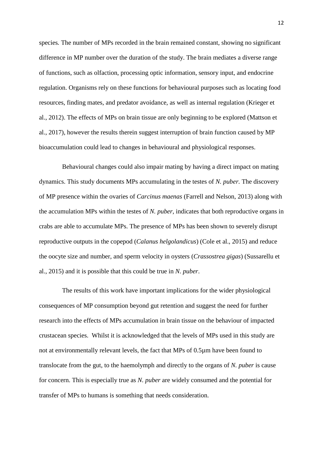species*.* The number of MPs recorded in the brain remained constant, showing no significant difference in MP number over the duration of the study. The brain mediates a diverse range of functions, such as olfaction, processing optic information, sensory input, and endocrine regulation. Organisms rely on these functions for behavioural purposes such as locating food resources, finding mates, and predator avoidance, as well as internal regulation (Krieger et al., 2012). The effects of MPs on brain tissue are only beginning to be explored (Mattson et al., 2017), however the results therein suggest interruption of brain function caused by MP bioaccumulation could lead to changes in behavioural and physiological responses.

Behavioural changes could also impair mating by having a direct impact on mating dynamics. This study documents MPs accumulating in the testes of *N. puber.* The discovery of MP presence within the ovaries of *Carcinus maenas* (Farrell and Nelson, 2013) along with the accumulation MPs within the testes of *N. puber*, indicates that both reproductive organs in crabs are able to accumulate MPs. The presence of MPs has been shown to severely disrupt reproductive outputs in the copepod (*Calanus helgolandicus*) (Cole et al., 2015) and reduce the oocyte size and number, and sperm velocity in oysters (*Crassostrea gigas*) (Sussarellu et al., 2015) and it is possible that this could be true in *N. puber*.

The results of this work have important implications for the wider physiological consequences of MP consumption beyond gut retention and suggest the need for further research into the effects of MPs accumulation in brain tissue on the behaviour of impacted crustacean species. Whilst it is acknowledged that the levels of MPs used in this study are not at environmentally relevant levels, the fact that MPs of 0.5µm have been found to translocate from the gut, to the haemolymph and directly to the organs of *N. puber* is cause for concern. This is especially true as *N. puber* are widely consumed and the potential for transfer of MPs to humans is something that needs consideration.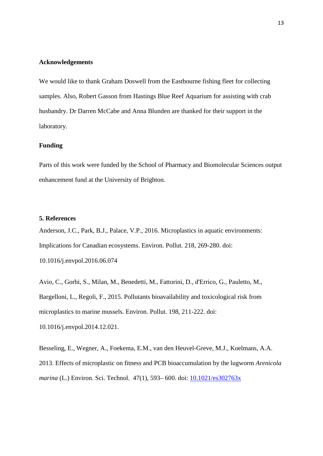### **Acknowledgements**

We would like to thank Graham Doswell from the Eastbourne fishing fleet for collecting samples. Also, Robert Gasson from Hastings Blue Reef Aquarium for assisting with crab husbandry. Dr Darren McCabe and Anna Blunden are thanked for their support in the laboratory.

# **Funding**

Parts of this work were funded by the School of Pharmacy and Biomolecular Sciences output enhancement fund at the University of Brighton.

### **5. References**

Anderson, J.C., Park, B.J., Palace, V.P., 2016. Microplastics in aquatic environments: Implications for Canadian ecosystems. Environ. Pollut. 218, 269-280. doi: 10.1016/j.envpol.2016.06.074

Avio, C., Gorbi, S., Milan, M., Benedetti, M., Fattorini, D., d'Errico, G., Pauletto, M., Bargelloni, L., Regoli, F., 2015. Pollutants bioavailability and toxicological risk from microplastics to marine mussels. Environ. Pollut. 198, 211-222. doi: 10.1016/j.envpol.2014.12.021.

Besseling, E., Wegner, A., Foekema, E.M., van den Heuvel-Greve, M.J., Koelmans, A.A. 2013. Effects of microplastic on fitness and PCB bioaccumulation by the lugworm *Arenicola marina* (L.) Environ. Sci. Technol. 47(1), 593–600. doi: **10.1021/es302763x**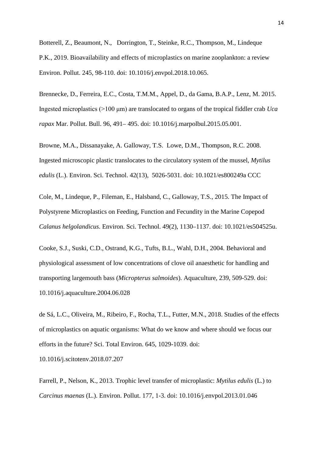Botterell, Z., Beaumont, N., Dorrington, T., Steinke, R.C., Thompson, M., Lindeque P.K., 2019. Bioavailability and effects of microplastics on marine zooplankton: a review Environ. Pollut. 245, 98-110. doi: 10.1016/j.envpol.2018.10.065.

Brennecke, D., Ferreira, E.C., Costa, T.M.M., Appel, D., da Gama, B.A.P., Lenz, M. 2015. Ingested microplastics (>100 μm) are translocated to organs of the tropical fiddler crab *Uca rapax* Mar. Pollut. Bull. 96, 491– 495. doi: 10.1016/j.marpolbul.2015.05.001.

Browne, M.A., Dissanayake, A. Galloway, T.S. Lowe, D.M., Thompson, R.C. 2008. Ingested microscopic plastic translocates to the circulatory system of the mussel, *Mytilus edulis* (L.). Environ. Sci. Technol. 42(13), 5026-5031. doi: 10.1021/es800249a CCC

Cole, M., Lindeque, P., Fileman, E., Halsband, C., Galloway, T.S., 2015. The Impact of Polystyrene Microplastics on Feeding, Function and Fecundity in the Marine Copepod *Calanus helgolandicus*. Environ. Sci. Technol. 49(2), 1130–1137. doi: 10.1021/es504525u.

Cooke, S.J., Suski, C.D., Ostrand, K.G., Tufts, B.L., Wahl, D.H., 2004. Behavioral and physiological assessment of low concentrations of clove oil anaesthetic for handling and transporting largemouth bass (*Micropterus salmoides*). Aquaculture, 239, 509-529. doi: 10.1016/j.aquaculture.2004.06.028

de Sá, L.C., Oliveira, M., Ribeiro, F., Rocha, T.L., Futter, M.N., 2018. Studies of the effects of microplastics on aquatic organisms: What do we know and where should we focus our efforts in the future? Sci. Total Environ. 645, 1029-1039. doi:

10.1016/j.scitotenv.2018.07.207

Farrell, P., Nelson, K., 2013. Trophic level transfer of microplastic: *Mytilus edulis* (L.) to *Carcinus maenas* (L.). Environ. Pollut. 177, 1-3. doi: 10.1016/j.envpol.2013.01.046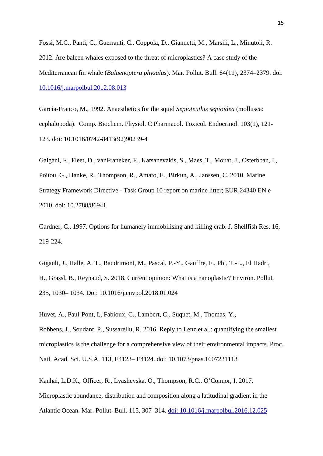Fossi, M.C., Panti, C., Guerranti, C., Coppola, D., Giannetti, M., Marsili, L., Minutoli, R. 2012. Are baleen whales exposed to the threat of microplastics? A case study of the Mediterranean fin whale (*Balaenoptera physalus*). Mar. Pollut. Bull. 64(11), 2374–2379. doi: [10.1016/j.marpolbul.2012.08.013](https://doi.org/10.1016/j.marpolbul.2012.08.013)

García-Franco, M., 1992. Anaesthetics for the squid *Sepioteuthis sepioidea* (mollusca: cephalopoda). Comp. Biochem. Physiol. C Pharmacol. Toxicol. Endocrinol. 103(1), 121- 123. doi: 10.1016/0742-8413(92)90239-4

Galgani, F., Fleet, D., vanFraneker, F., Katsanevakis, S., Maes, T., Mouat, J., Osterbban, I., Poitou, G., Hanke, R., Thompson, R., Amato, E., Birkun, A., Janssen, C. 2010. Marine Strategy Framework Directive - Task Group 10 report on marine litter; EUR 24340 EN e 2010. doi: 10.2788/86941

Gardner, C., 1997. Options for humanely immobilising and killing crab. J. Shellfish Res. 16, 219-224.

Gigault, J., Halle, A. T., Baudrimont, M., Pascal, P.-Y., Gauffre, F., Phi, T.-L., El Hadri, H., Grassl, B., Reynaud, S. 2018. Current opinion: What is a nanoplastic? Environ. Pollut*.*  235, 1030– 1034. Doi: 10.1016/j.envpol.2018.01.024

Huvet, A., Paul-Pont, I., Fabioux, C., Lambert, C., Suquet, M., Thomas, Y., Robbens, J., Soudant, P., Sussarellu, R. 2016. Reply to Lenz et al.: quantifying the smallest microplastics is the challenge for a comprehensive view of their environmental impacts. Proc. Natl. Acad. Sci. U.S.A. 113, E4123– E4124. doi: 10.1073/pnas.1607221113

Kanhai, L.D.K., Officer, R., Lyashevska, O., Thompson, R.C., O'Connor, I. 2017. Microplastic abundance, distribution and composition along a latitudinal gradient in the Atlantic Ocean. Mar. Pollut. Bull. 115, 307–314. [doi: 10.1016/j.marpolbul.2016.12.025](https://doi.org/10.1016/j.marpolbul.2016.12.025)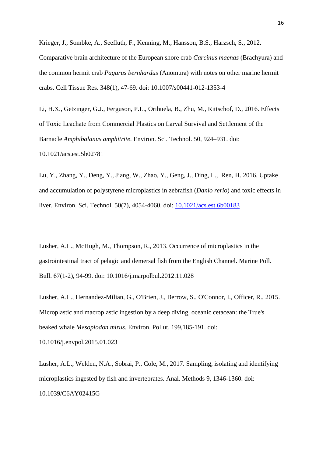Krieger, J., Sombke, A., Seefluth, F., Kenning, M., Hansson, B.S., Harzsch, S., 2012. Comparative brain architecture of the European shore crab *Carcinus maenas* (Brachyura) and the common hermit crab *Pagurus bernhardus* (Anomura) with notes on other marine hermit crabs. Cell Tissue Res. 348(1), 47-69. doi: 10.1007/s00441-012-1353-4

Li, H.X., Getzinger, G.J., Ferguson, P.L., Orihuela, B., Zhu, M., Rittschof, D., 2016. Effects of Toxic Leachate from Commercial Plastics on Larval Survival and Settlement of the Barnacle *Amphibalanus amphitrite*. Environ. Sci. Technol. 50, 924–931. doi: 10.1021/acs.est.5b02781

Lu, Y., Zhang, Y., Deng, Y., Jiang, W., Zhao, Y., Geng, J., Ding, L., Ren, H. 2016. Uptake and accumulation of polystyrene microplastics in zebrafish (*Danio rerio*) and toxic effects in liver. Environ. Sci. Technol. 50(7), 4054-4060. doi: [10.1021/acs.est.6b00183](https://doi.org/10.1021/acs.est.6b00183)

Lusher, A.L., McHugh, M., Thompson, R., 2013. Occurrence of microplastics in the gastrointestinal tract of pelagic and demersal fish from the English Channel. Marine Poll. Bull. 67(1-2), 94-99. doi: 10.1016/j.marpolbul.2012.11.028

Lusher, A.L., Hernandez-Milian, G., O'Brien, J., Berrow, S., O'Connor, I., Officer, R., 2015. Microplastic and macroplastic ingestion by a deep diving, oceanic cetacean: the True's beaked whale *Mesoplodon mirus*. Environ. Pollut. 199,185-191. doi: 10.1016/j.envpol.2015.01.023

Lusher, A.L., Welden, N.A., Sobrai, P., Cole, M., 2017. Sampling, isolating and identifying microplastics ingested by fish and invertebrates. Anal. Methods 9, 1346-1360. doi: 10.1039/C6AY02415G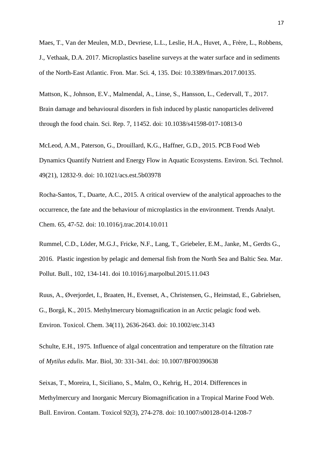Maes, T., Van der Meulen, M.D., Devriese, L.L., Leslie, H.A., Huvet, A., Frère, L., Robbens, J., Vethaak, D.A. 2017. Microplastics baseline surveys at the water surface and in sediments of the North-East Atlantic. Fron. Mar. Sci. 4, 135. Doi: 10.3389/fmars.2017.00135.

Mattson, K., Johnson, E.V., Malmendal, A., Linse, S., Hansson, L., Cedervall, T., 2017. Brain damage and behavioural disorders in fish induced by plastic nanoparticles delivered through the food chain. Sci. Rep. 7, 11452. doi: 10.1038/s41598-017-10813-0

McLeod, A.M., Paterson, G., Drouillard, K.G., Haffner, G.D., 2015. PCB Food Web Dynamics Quantify Nutrient and Energy Flow in Aquatic Ecosystems. Environ. Sci. Technol. 49(21), 12832-9. doi: 10.1021/acs.est.5b03978

Rocha-Santos, T., Duarte, A.C., 2015. A critical overview of the analytical approaches to the occurrence, the fate and the behaviour of microplastics in the environment. Trends Analyt. Chem. 65, 47-52. doi: 10.1016/j.trac.2014.10.011

Rummel, C.D., Löder, M.G.J., Fricke, N.F., Lang, T., Griebeler, E.M., Janke, M., Gerdts G., 2016. Plastic ingestion by pelagic and demersal fish from the North Sea and Baltic Sea. Mar. Pollut. Bull., 102, 134-141. [doi 10.1016/j.marpolbul.2015.11.043](https://doi.org/10.1016/j.marpolbul.2015.11.043)

Ruus, A., Øverjordet, I., Braaten, H., Evenset, A., Christensen, G., Heimstad, E., Gabrielsen, G., Borgå, K., 2015. Methylmercury biomagnification in an Arctic pelagic food web. Environ. Toxicol. Chem. 34(11), 2636-2643. doi: 10.1002/etc.3143

Schulte, E.H., 1975. Influence of algal concentration and temperature on the filtration rate of *Mytilus edulis*. Mar. Biol, 30: 331-341. [doi: 10.1007/BF00390638](https://doi.org/10.1007/BF00390638)

Seixas, T., Moreira, I., Siciliano, S., Malm, O., Kehrig, H., 2014. Differences in Methylmercury and Inorganic Mercury Biomagnification in a Tropical Marine Food Web. Bull. Environ. Contam. Toxicol 92(3), 274-278. doi: 10.1007/s00128-014-1208-7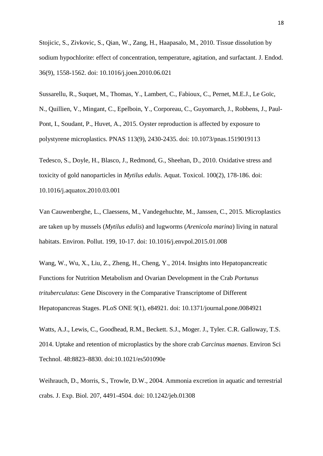Stojicic, S., Zivkovic, S., Qian, W., Zang, H., Haapasalo, M., 2010. Tissue dissolution by sodium hypochlorite: effect of concentration, temperature, agitation, and surfactant. J. Endod. 36(9), 1558-1562. doi: 10.1016/j.joen.2010.06.021

Sussarellu, R., Suquet, M., Thomas, Y., Lambert, C., Fabioux, C., Pernet, M.E.J., Le Goïc, N., Quillien, V., Mingant, C., Epelboin, Y., Corporeau, C., Guyomarch, J., Robbens, J., Paul-Pont, I., Soudant, P., Huvet, A., 2015. Oyster reproduction is affected by exposure to polystyrene microplastics. PNAS 113(9), 2430-2435. doi: 10.1073/pnas.1519019113

Tedesco, S., Doyle, H., Blasco, J., Redmond, G., Sheehan, D., 2010. Oxidative stress and toxicity of gold nanoparticles in *Mytilus edulis*. Aquat. Toxicol. 100(2), 178-186. doi: 10.1016/j.aquatox.2010.03.001

Van Cauwenberghe, L., Claessens, M., Vandegehuchte, M., Janssen, C., 2015. Microplastics are taken up by mussels (*Mytilus edulis*) and lugworms (*Arenicola marina*) living in natural habitats. Environ. Pollut. 199, 10-17. doi: 10.1016/j.envpol.2015.01.008

Wang, W., Wu, X., Liu, Z., Zheng, H., Cheng, Y., 2014. Insights into Hepatopancreatic Functions for Nutrition Metabolism and Ovarian Development in the Crab *Portunus trituberculatus*: Gene Discovery in the Comparative Transcriptome of Different Hepatopancreas Stages. PLoS ONE 9(1), e84921. doi: 10.1371/journal.pone.0084921

Watts, A.J., Lewis, C., Goodhead, R.M., Beckett. S.J., Moger. J., Tyler. C.R. Galloway, T.S. 2014. Uptake and retention of microplastics by the shore crab *Carcinus maenas*. Environ Sci Technol. 48:8823–8830. doi:10.1021/es501090e

Weihrauch, D., Morris, S., Trowle, D.W., 2004. Ammonia excretion in aquatic and terrestrial crabs. J. Exp. Biol. 207, 4491-4504. doi: 10.1242/jeb.01308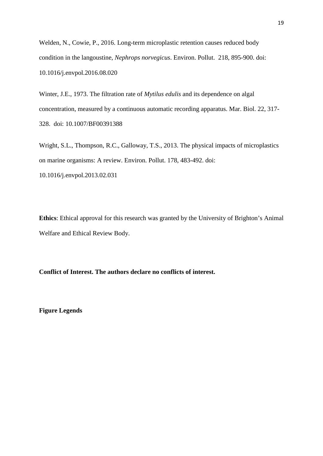Welden, N., Cowie, P., 2016. Long-term microplastic retention causes reduced body condition in the langoustine, *Nephrops norvegicus*. Environ. Pollut. 218, 895-900. doi: 10.1016/j.envpol.2016.08.020

Winter, J.E., 1973. The filtration rate of *Mytilus edulis* and its dependence on algal concentration, measured by a continuous automatic recording apparatus. Mar. Biol. 22, 317- 328. [doi: 10.1007/BF00391388](https://doi.org/10.1007/BF00391388)

Wright, S.L., Thompson, R.C., Galloway, T.S., 2013. The physical impacts of microplastics on marine organisms: A review. Environ. Pollut. 178, 483-492. doi:

10.1016/j.envpol.2013.02.031

**Ethics**: Ethical approval for this research was granted by the University of Brighton's Animal Welfare and Ethical Review Body.

**Conflict of Interest. The authors declare no conflicts of interest.** 

**Figure Legends**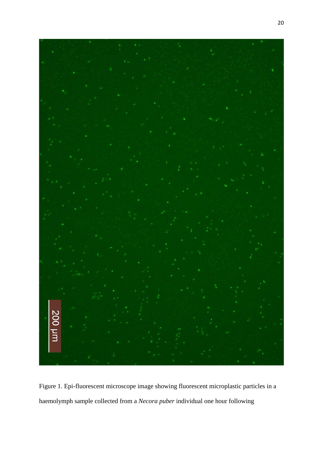

Figure 1. Epi-fluorescent microscope image showing fluorescent microplastic particles in a haemolymph sample collected from a *Necora puber* individual one hour following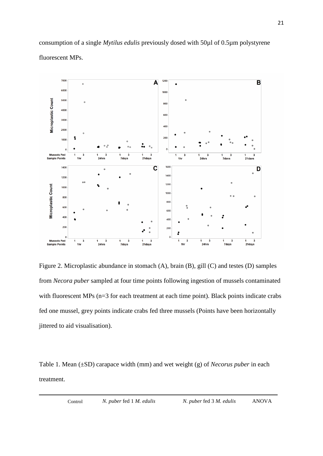consumption of a single *Mytilus edulis* previously dosed with 50µl of 0.5µm polystyrene fluorescent MPs.



Figure 2. Microplastic abundance in stomach (A), brain (B), gill (C) and testes (D) samples from *Necora puber* sampled at four time points following ingestion of mussels contaminated with fluorescent MPs (n=3 for each treatment at each time point). Black points indicate crabs fed one mussel, grey points indicate crabs fed three mussels (Points have been horizontally jittered to aid visualisation).

Table 1. Mean (±SD) carapace width (mm) and wet weight (g) of *Necorus puber* in each treatment.